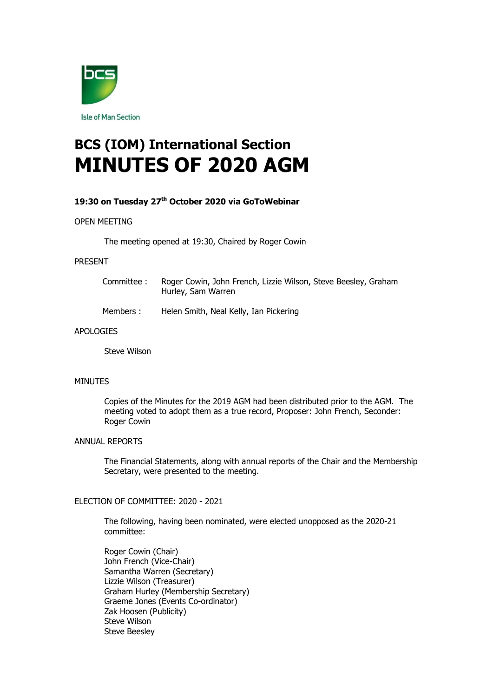

# **BCS (IOM) International Section MINUTES OF 2020 AGM**

# **19:30 on Tuesday 27th October 2020 via GoToWebinar**

#### OPEN MEETING

The meeting opened at 19:30, Chaired by Roger Cowin

#### PRESENT

| Committee : | Roger Cowin, John French, Lizzie Wilson, Steve Beesley, Graham<br>Hurley, Sam Warren |
|-------------|--------------------------------------------------------------------------------------|
| Members :   | Helen Smith, Neal Kelly, Ian Pickering                                               |
| רד⊏         |                                                                                      |

# APOLOGIES

Steve Wilson

#### MINUTES

Copies of the Minutes for the 2019 AGM had been distributed prior to the AGM. The meeting voted to adopt them as a true record, Proposer: John French, Seconder: Roger Cowin

# ANNUAL REPORTS

The Financial Statements, along with annual reports of the Chair and the Membership Secretary, were presented to the meeting.

# ELECTION OF COMMITTEE: 2020 - 2021

The following, having been nominated, were elected unopposed as the 2020-21 committee:

Roger Cowin (Chair) John French (Vice-Chair) Samantha Warren (Secretary) Lizzie Wilson (Treasurer) Graham Hurley (Membership Secretary) Graeme Jones (Events Co-ordinator) Zak Hoosen (Publicity) Steve Wilson Steve Beesley